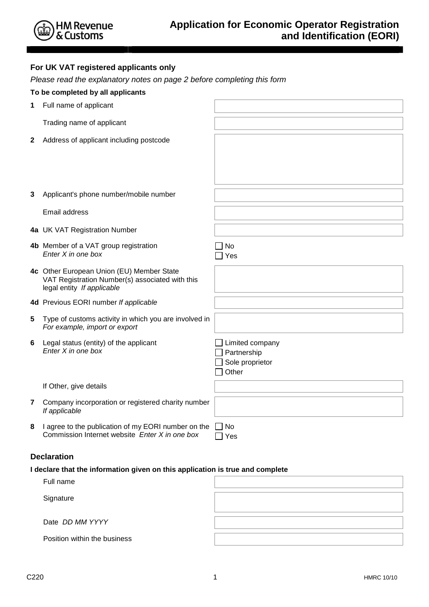|  |  |  |  | For UK VAT registered applicants only |  |
|--|--|--|--|---------------------------------------|--|
|--|--|--|--|---------------------------------------|--|

Please read the explanatory notes on page 2 before completing this form

|                         | To be completed by all applicants                                                                                          |                                                            |
|-------------------------|----------------------------------------------------------------------------------------------------------------------------|------------------------------------------------------------|
| 1                       | Full name of applicant                                                                                                     |                                                            |
|                         | Trading name of applicant                                                                                                  |                                                            |
| $\mathbf{2}$            | Address of applicant including postcode                                                                                    |                                                            |
|                         |                                                                                                                            |                                                            |
|                         |                                                                                                                            |                                                            |
| 3                       | Applicant's phone number/mobile number                                                                                     |                                                            |
|                         | Email address                                                                                                              |                                                            |
|                         | 4a UK VAT Registration Number                                                                                              |                                                            |
|                         | 4b Member of a VAT group registration<br>Enter X in one box                                                                | No<br>Yes                                                  |
|                         | 4c Other European Union (EU) Member State<br>VAT Registration Number(s) associated with this<br>legal entity If applicable |                                                            |
|                         | 4d Previous EORI number If applicable                                                                                      |                                                            |
| 5                       | Type of customs activity in which you are involved in<br>For example, import or export                                     |                                                            |
| 6                       | Legal status (entity) of the applicant<br>Enter X in one box                                                               | Limited company<br>Partnership<br>Sole proprietor<br>Other |
|                         | If Other, give details                                                                                                     |                                                            |
| $\overline{\mathbf{7}}$ | Company incorporation or registered charity number<br>If applicable                                                        |                                                            |
| 8                       | I agree to the publication of my EORI number on the<br>Commission Internet website Enter X in one box                      | No<br>Yes                                                  |

# **Declaration**

# **I declare that the information given on this application is true and complete**

| Full name                    |  |
|------------------------------|--|
| Signature                    |  |
| Date DD MM YYYY              |  |
| Position within the business |  |